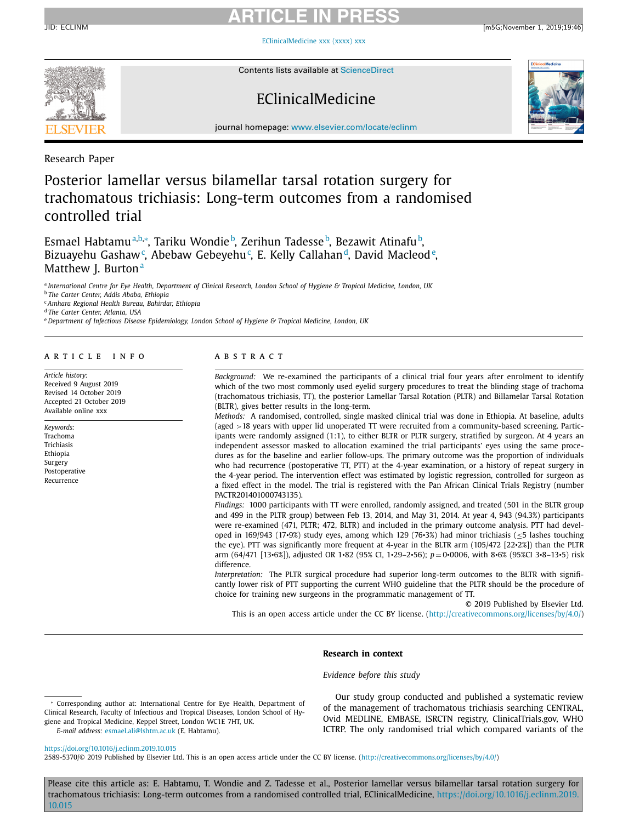# **ARTICLE IN PRESS**

[EClinicalMedicine](https://doi.org/10.1016/j.eclinm.2019.10.015) xxx (xxxx) xxx



Contents lists available at [ScienceDirect](http://www.ScienceDirect.com)

# EClinicalMedicine



journal homepage: [www.elsevier.com/locate/eclinm](http://www.elsevier.com/locate/eclinm)

Research Paper

# Posterior lamellar versus bilamellar tarsal rotation surgery for trachomatous trichiasis: Long-term outcomes from a randomised controlled trial

Esmael Habtamuª<sup>,b,</sup>\*, Tariku Wondie<sup>b</sup>, Zerihun Tadesse<sup>b</sup>, Bezawit Atinafu<sup>b</sup>, Bizuayehu Gashaw<sup>c</sup>, Abebaw Gebeyehu<sup>c</sup>, E. Kelly Callahan<sup>d</sup>, David Macleod<sup>e</sup>, Matthew J. Burton<sup>a</sup>

a International Centre for Eve Health. Department of Clinical Research. London School of Hygiene & Tropical Medicine. London. UK

<sup>b</sup> *The Carter Center, Addis Ababa, Ethiopia*

<sup>c</sup> *Amhara Regional Health Bureau, Bahirdar, Ethiopia*

<sup>d</sup> *The Carter Center, Atlanta, USA*

<sup>e</sup> *Department of Infectious Disease Epidemiology, London School of Hygiene & Tropical Medicine, London, UK*

### a r t i c l e i n f o

*Article history:* Received 9 August 2019 Revised 14 October 2019 Accepted 21 October 2019 Available online xxx

*Keywords:* Trachoma Trichiasis Ethiopia Surgery Postoperative Recurrence

## A B S T R A C T

*Background:* We re-examined the participants of a clinical trial four years after enrolment to identify which of the two most commonly used eyelid surgery procedures to treat the blinding stage of trachoma (trachomatous trichiasis, TT), the posterior Lamellar Tarsal Rotation (PLTR) and Billamelar Tarsal Rotation (BLTR), gives better results in the long-term.

*Methods:* A randomised, controlled, single masked clinical trial was done in Ethiopia. At baseline, adults (aged >18 years with upper lid unoperated TT were recruited from a community-based screening. Participants were randomly assigned (1:1), to either BLTR or PLTR surgery, stratified by surgeon. At 4 years an independent assessor masked to allocation examined the trial participants' eyes using the same procedures as for the baseline and earlier follow-ups. The primary outcome was the proportion of individuals who had recurrence (postoperative TT, PTT) at the 4-year examination, or a history of repeat surgery in the 4-year period. The intervention effect was estimated by logistic regression, controlled for surgeon as a fixed effect in the model. The trial is registered with the Pan African Clinical Trials Registry (number PACTR201401000743135).

*Findings:* 1000 participants with TT were enrolled, randomly assigned, and treated (501 in the BLTR group and 499 in the PLTR group) between Feb 13, 2014, and May 31, 2014. At year 4, 943 (94.3%) participants were re-examined (471, PLTR; 472, BLTR) and included in the primary outcome analysis. PTT had developed in 169/943 (17•9%) study eyes, among which <sup>129</sup> (76•3%) had minor trichiasis (≤<sup>5</sup> lashes touching the eye). PTT was significantly more frequent at 4-year in the BLTR arm (105/472 [22•2%]) than the PLTR arm (64/471 [13•6%]), adjusted OR <sup>1</sup>•<sup>82</sup> (95% CI, <sup>1</sup>•29–2•56); *<sup>p</sup>* <sup>=</sup> <sup>0</sup>•0006, with <sup>8</sup>•6% (95%CI <sup>3</sup>•8–13•5) risk difference.

*Interpretation:* The PLTR surgical procedure had superior long-term outcomes to the BLTR with significantly lower risk of PTT supporting the current WHO guideline that the PLTR should be the procedure of choice for training new surgeons in the programmatic management of TT.

© 2019 Published by Elsevier Ltd.

This is an open access article under the CC BY license. [\(http://creativecommons.org/licenses/by/4.0/\)](http://creativecommons.org/licenses/by/4.0/)

#### **Research in context**

### *Evidence before this study*

Corresponding author at: International Centre for Eye Health, Department of Clinical Research, Faculty of Infectious and Tropical Diseases, London School of Hygiene and Tropical Medicine, Keppel Street, London WC1E 7HT, UK. *E-mail address:* [esmael.ali@lshtm.ac.uk](mailto:esmael.ali@lshtm.ac.uk) (E. Habtamu).

Our study group conducted and published a systematic review of the management of trachomatous trichiasis searching CENTRAL, Ovid MEDLINE, EMBASE, ISRCTN registry, ClinicalTrials.gov, WHO ICTRP. The only randomised trial which compared variants of the

<https://doi.org/10.1016/j.eclinm.2019.10.015>

2589-5370/© 2019 Published by Elsevier Ltd. This is an open access article under the CC BY license. [\(http://creativecommons.org/licenses/by/4.0/\)](http://creativecommons.org/licenses/by/4.0/)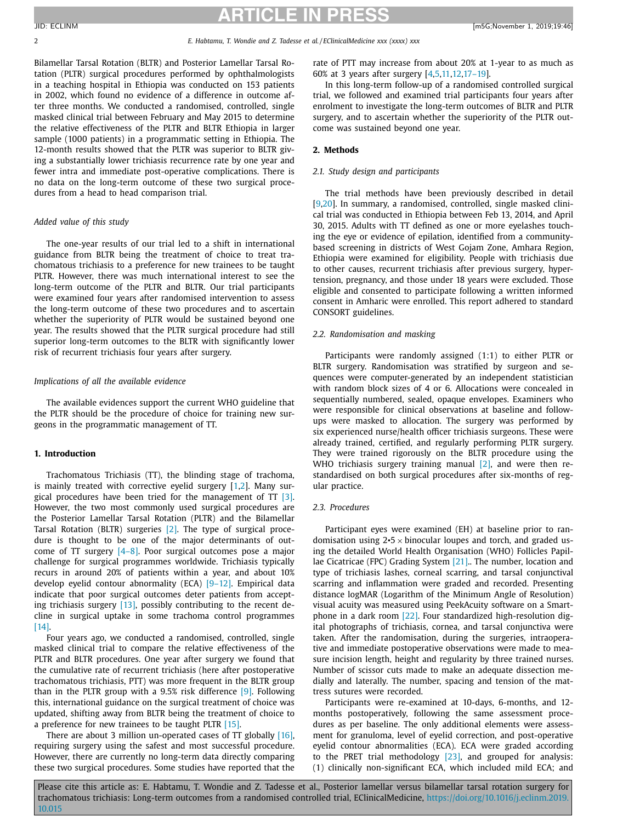2 *E. Habtamu, T. Wondie and Z. Tadesse et al. / EClinicalMedicine xxx (xxxx) xxx*

Bilamellar Tarsal Rotation (BLTR) and Posterior Lamellar Tarsal Rotation (PLTR) surgical procedures performed by ophthalmologists in a teaching hospital in Ethiopia was conducted on 153 patients in 2002, which found no evidence of a difference in outcome after three months. We conducted a randomised, controlled, single masked clinical trial between February and May 2015 to determine the relative effectiveness of the PLTR and BLTR Ethiopia in larger sample (1000 patients) in a programmatic setting in Ethiopia. The 12-month results showed that the PLTR was superior to BLTR giving a substantially lower trichiasis recurrence rate by one year and fewer intra and immediate post-operative complications. There is no data on the long-term outcome of these two surgical procedures from a head to head comparison trial.

#### *Added value of this study*

The one-year results of our trial led to a shift in international guidance from BLTR being the treatment of choice to treat trachomatous trichiasis to a preference for new trainees to be taught PLTR. However, there was much international interest to see the long-term outcome of the PLTR and BLTR. Our trial participants were examined four years after randomised intervention to assess the long-term outcome of these two procedures and to ascertain whether the superiority of PLTR would be sustained beyond one year. The results showed that the PLTR surgical procedure had still superior long-term outcomes to the BLTR with significantly lower risk of recurrent trichiasis four years after surgery.

#### *Implications of all the available evidence*

The available evidences support the current WHO guideline that the PLTR should be the procedure of choice for training new surgeons in the programmatic management of TT.

### **1. Introduction**

Trachomatous Trichiasis (TT), the blinding stage of trachoma, is mainly treated with corrective eyelid surgery [\[1,2\]](#page-8-0). Many surgical procedures have been tried for the management of  $TT$  [\[3\].](#page-8-0) However, the two most commonly used surgical procedures are the Posterior Lamellar Tarsal Rotation (PLTR) and the Bilamellar Tarsal Rotation (BLTR) surgeries [\[2\].](#page-8-0) The type of surgical procedure is thought to be one of the major determinants of outcome of TT surgery [\[4–8\].](#page-8-0) Poor surgical outcomes pose a major challenge for surgical programmes worldwide. Trichiasis typically recurs in around 20% of patients within a year, and about 10% develop eyelid contour abnormality (ECA) [\[9–12\].](#page-8-0) Empirical data indicate that poor surgical outcomes deter patients from accepting trichiasis surgery [\[13\],](#page-8-0) possibly contributing to the recent decline in surgical uptake in some trachoma control programmes [\[14\].](#page-8-0)

Four years ago, we conducted a randomised, controlled, single masked clinical trial to compare the relative effectiveness of the PLTR and BLTR procedures. One year after surgery we found that the cumulative rate of recurrent trichiasis (here after postoperative trachomatous trichiasis, PTT) was more frequent in the BLTR group than in the PLTR group with a 9.5% risk difference [\[9\].](#page-8-0) Following this, international guidance on the surgical treatment of choice was updated, shifting away from BLTR being the treatment of choice to a preference for new trainees to be taught PLTR [\[15\].](#page-8-0)

There are about 3 million un-operated cases of TT globally [\[16\],](#page-8-0) requiring surgery using the safest and most successful procedure. However, there are currently no long-term data directly comparing these two surgical procedures. Some studies have reported that the rate of PTT may increase from about 20% at 1-year to as much as 60% at 3 years after surgery [\[4,5,11,12,17–19\]](#page-8-0).

In this long-term follow-up of a randomised controlled surgical trial, we followed and examined trial participants four years after enrolment to investigate the long-term outcomes of BLTR and PLTR surgery, and to ascertain whether the superiority of the PLTR outcome was sustained beyond one year.

#### **2. Methods**

#### *2.1. Study design and participants*

The trial methods have been previously described in detail [\[9,20\]](#page-8-0). In summary, a randomised, controlled, single masked clinical trial was conducted in Ethiopia between Feb 13, 2014, and April 30, 2015. Adults with TT defined as one or more eyelashes touching the eye or evidence of epilation, identified from a communitybased screening in districts of West Gojam Zone, Amhara Region, Ethiopia were examined for eligibility. People with trichiasis due to other causes, recurrent trichiasis after previous surgery, hypertension, pregnancy, and those under 18 years were excluded. Those eligible and consented to participate following a written informed consent in Amharic were enrolled. This report adhered to standard CONSORT guidelines.

### *2.2. Randomisation and masking*

Participants were randomly assigned (1:1) to either PLTR or BLTR surgery. Randomisation was stratified by surgeon and sequences were computer-generated by an independent statistician with random block sizes of 4 or 6. Allocations were concealed in sequentially numbered, sealed, opaque envelopes. Examiners who were responsible for clinical observations at baseline and followups were masked to allocation. The surgery was performed by six experienced nurse/health officer trichiasis surgeons. These were already trained, certified, and regularly performing PLTR surgery. They were trained rigorously on the BLTR procedure using the WHO trichiasis surgery training manual [\[2\],](#page-8-0) and were then restandardised on both surgical procedures after six-months of regular practice.

#### *2.3. Procedures*

Participant eyes were examined (EH) at baseline prior to randomisation using  $2 \cdot 5 \times$  binocular loupes and torch, and graded using the detailed World Health Organisation (WHO) Follicles Papillae Cicatricae (FPC) Grading System [\[21\].](#page-8-0). The number, location and type of trichiasis lashes, corneal scarring, and tarsal conjunctival scarring and inflammation were graded and recorded. Presenting distance logMAR (Logarithm of the Minimum Angle of Resolution) visual acuity was measured using PeekAcuity software on a Smartphone in a dark room [\[22\].](#page-8-0) Four standardized high-resolution digital photographs of trichiasis, cornea, and tarsal conjunctiva were taken. After the randomisation, during the surgeries, intraoperative and immediate postoperative observations were made to measure incision length, height and regularity by three trained nurses. Number of scissor cuts made to make an adequate dissection medially and laterally. The number, spacing and tension of the mattress sutures were recorded.

Participants were re-examined at 10-days, 6-months, and 12 months postoperatively, following the same assessment procedures as per baseline. The only additional elements were assessment for granuloma, level of eyelid correction, and post-operative eyelid contour abnormalities (ECA). ECA were graded according to the PRET trial methodology [\[23\],](#page-8-0) and grouped for analysis: (1) clinically non-significant ECA, which included mild ECA; and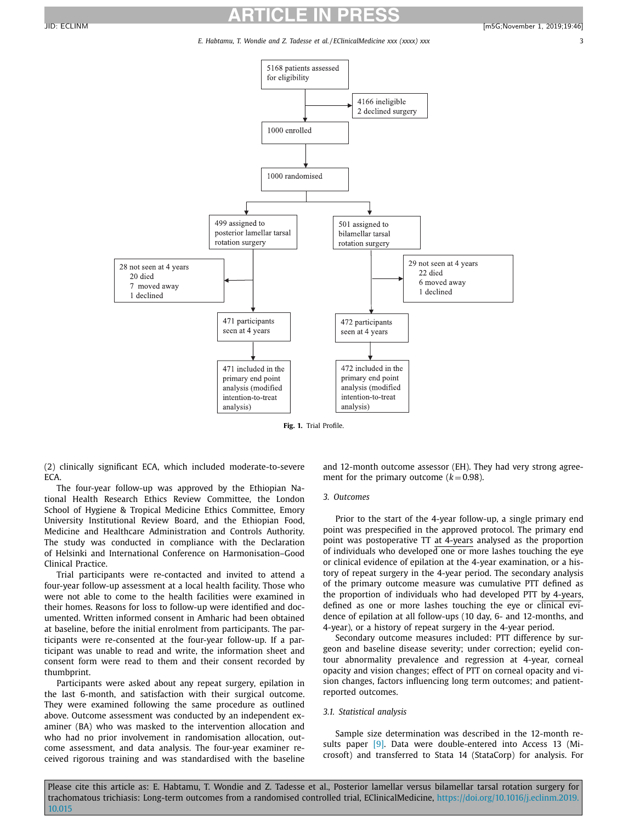*E. Habtamu, T. Wondie and Z. Tadesse et al. / EClinicalMedicine xxx (xxxx) xxx* 3



<span id="page-2-0"></span>

**Fig. 1.** Trial Profile.

(2) clinically significant ECA, which included moderate-to-severe ECA.

The four-year follow-up was approved by the Ethiopian National Health Research Ethics Review Committee, the London School of Hygiene & Tropical Medicine Ethics Committee, Emory University Institutional Review Board, and the Ethiopian Food, Medicine and Healthcare Administration and Controls Authority. The study was conducted in compliance with the Declaration of Helsinki and International Conference on Harmonisation–Good Clinical Practice.

Trial participants were re-contacted and invited to attend a four-year follow-up assessment at a local health facility. Those who were not able to come to the health facilities were examined in their homes. Reasons for loss to follow-up were identified and documented. Written informed consent in Amharic had been obtained at baseline, before the initial enrolment from participants. The participants were re-consented at the four-year follow-up. If a participant was unable to read and write, the information sheet and consent form were read to them and their consent recorded by thumbprint.

Participants were asked about any repeat surgery, epilation in the last 6-month, and satisfaction with their surgical outcome. They were examined following the same procedure as outlined above. Outcome assessment was conducted by an independent examiner (BA) who was masked to the intervention allocation and who had no prior involvement in randomisation allocation, outcome assessment, and data analysis. The four-year examiner received rigorous training and was standardised with the baseline

and 12-month outcome assessor (EH). They had very strong agreement for the primary outcome  $(k = 0.98)$ .

#### *3. Outcomes*

Prior to the start of the 4-year follow-up, a single primary end point was prespecified in the approved protocol. The primary end point was postoperative TT at 4-years analysed as the proportion of individuals who developed one or more lashes touching the eye or clinical evidence of epilation at the 4-year examination, or a history of repeat surgery in the 4-year period. The secondary analysis of the primary outcome measure was cumulative PTT defined as the proportion of individuals who had developed PTT by 4-years, defined as one or more lashes touching the eye or clinical evidence of epilation at all follow-ups (10 day, 6- and 12-months, and 4-year), or a history of repeat surgery in the 4-year period.

Secondary outcome measures included: PTT difference by surgeon and baseline disease severity; under correction; eyelid contour abnormality prevalence and regression at 4-year, corneal opacity and vision changes; effect of PTT on corneal opacity and vision changes, factors influencing long term outcomes; and patientreported outcomes.

#### *3.1. Statistical analysis*

Sample size determination was described in the 12-month re-sults paper [\[9\].](#page-8-0) Data were double-entered into Access 13 (Microsoft) and transferred to Stata 14 (StataCorp) for analysis. For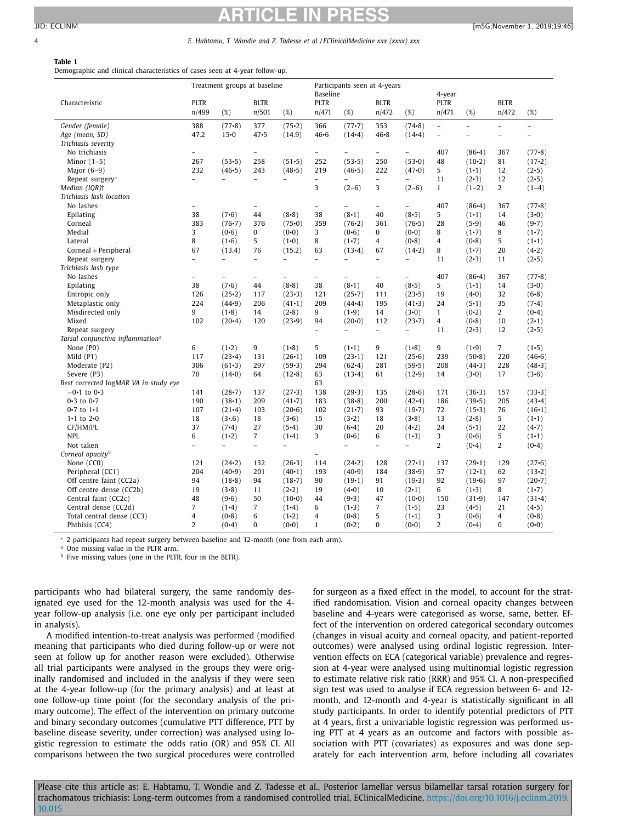#### <span id="page-3-0"></span>4 *E. Habtamu, T. Wondie and Z. Tadesse et al. / EClinicalMedicine xxx (xxxx) xxx*

#### **Table 1**

Demographic and clinical characteristics of cases seen at 4-year follow-up.

|                                              |                          | Treatment groups at baseline |                          |                          | Baseline                 | Participants seen at 4-years |                          |                          | 4-year         |                |                          |                          |
|----------------------------------------------|--------------------------|------------------------------|--------------------------|--------------------------|--------------------------|------------------------------|--------------------------|--------------------------|----------------|----------------|--------------------------|--------------------------|
| Characteristic                               | <b>PLTR</b>              |                              | <b>BLTR</b>              |                          | <b>PLTR</b>              |                              | <b>BLTR</b>              |                          | <b>PLTR</b>    |                | <b>BLTR</b>              |                          |
|                                              | n/499                    | $(\%)$                       | n/501                    | $(\%)$                   | n/471                    | (%)                          | n/472                    | $(\%)$                   | n/471          | $(\%)$         | n/472                    | (%)                      |
| Gender (female)                              | 388                      | $(77-8)$                     | 377                      | (75.2)                   | 366                      | $(77-7)$                     | 353                      | $(74 - 8)$               | $\bar{ }$      | $\overline{a}$ | $\overline{\phantom{0}}$ | $\overline{\phantom{0}}$ |
| Age (mean, SD)                               | 47.2                     | $15 - 0$                     | 47.5                     | (14.9)                   | $46 - 6$                 | $(14-4)$                     | $46 - 8$                 | $(14-4)$                 | $\overline{a}$ | $\overline{a}$ | $\overline{\phantom{0}}$ | $\overline{a}$           |
| Trichiasis severity                          |                          |                              |                          |                          |                          |                              |                          |                          |                |                |                          |                          |
| No trichiasis                                | $\overline{a}$           |                              | $\overline{a}$           |                          | ÷.                       |                              | $\overline{\phantom{0}}$ |                          | 407            | $(86-4)$       | 367                      | $(77-8)$                 |
| Minor $(1-5)$                                | 267                      | $(53-5)$                     | 258                      | $(51-5)$                 | 252                      | $(53-5)$                     | 250                      | (53.0)                   | 48             | $(10-2)$       | 81                       | $(17-2)$                 |
| Major $(6-9)$                                | 232                      | $(46-5)$                     | 243                      | (48.5)                   | 219                      | $(46-5)$                     | 222                      | (47.0)                   | 5              | $(1-1)$        | 12                       | (2.5)                    |
| Repeat surgery*                              | $\overline{a}$           | $\overline{\phantom{0}}$     | $\overline{\phantom{0}}$ | $\overline{\phantom{0}}$ | $\overline{\phantom{a}}$ | $\overline{\phantom{0}}$     | $\overline{\phantom{0}}$ | $\overline{\phantom{0}}$ | 11             | $(2-3)$        | 12                       | (2•5)                    |
| Median (IQR) <sup>†</sup>                    |                          |                              |                          |                          | 3                        | $(2-6)$                      | 3                        | $(2-6)$                  | $\mathbf{1}$   | $(1-2)$        | 2                        | $(1-4)$                  |
| Trichiasis lash location                     |                          |                              |                          |                          |                          |                              |                          |                          |                |                |                          |                          |
| No lashes                                    | $\overline{\phantom{0}}$ |                              | $\overline{\phantom{0}}$ |                          | $\overline{\phantom{a}}$ | $\overline{\phantom{a}}$     | $\overline{\phantom{m}}$ |                          | 407            | $(86-4)$       | 367                      | $(77-8)$                 |
| Epilating                                    | 38                       | (7.6)                        | 44                       | (8.8)                    | 38                       | (8.1)                        | 40                       | (8.5)                    | 5              | $(1-1)$        | 14                       | (3.0)                    |
| Corneal                                      | 383                      | $(76-7)$                     | 376                      | (75.0)                   | 359                      | $(76-2)$                     | 361                      | $(76-5)$                 | 28             | (5.9)          | 46                       | $(9-7)$                  |
| Medial                                       | 3                        | (0.6)                        | 0                        | (0.0)                    | 3                        | (0.6)                        | 0                        | $(0 - 0)$                | 8              | $(1-7)$        | 8                        | $(1-7)$                  |
| Lateral                                      | 8                        | $(1-6)$                      | 5                        | $(1-0)$                  | 8                        | $(1-7)$                      | 4                        | $(0-8)$                  | $\overline{4}$ | $(0-8)$        | 5                        | $(1-1)$                  |
| Corneal + Peripheral                         | 67                       | (13.4)                       | 76                       | (15.2)                   | 63                       | $(13-4)$                     | 67                       | $(14-2)$                 | 8              | $(1-7)$        | 20                       | $(4-2)$                  |
| Repeat surgery                               | $\overline{a}$           | $\overline{a}$               | $\overline{\phantom{0}}$ | $\overline{\phantom{0}}$ | $\overline{a}$           | $\overline{a}$               | $\overline{\phantom{0}}$ | $\overline{\phantom{0}}$ | 11             | $(2-3)$        | 11                       | (2•5)                    |
| Trichiasis lash type                         |                          |                              |                          |                          |                          |                              |                          |                          |                |                |                          |                          |
| No lashes                                    | $\overline{a}$           | $\overline{a}$               | $\overline{\phantom{0}}$ | $\overline{a}$           | $\overline{\phantom{a}}$ | $\overline{a}$               | $\overline{a}$           | $\overline{a}$           | 407            | $(86-4)$       | 367                      | $(77-8)$                 |
| Epilating                                    | 38                       | (7.6)                        | 44                       | (8.8)                    | 38                       | (8.1)                        | 40                       | (8.5)                    | 5              | $(1-1)$        | 14                       | (3.0)                    |
| Entropic only                                | 126                      | (25.2)                       | 117                      | $(23-3)$                 | 121                      | (25.7)                       | 111                      | (23.5)                   | 19             | $(4-0)$        | 32                       | $(6-8)$                  |
| Metaplastic only                             | 224                      | (44.9)                       | 206                      | $(41-1)$                 | 209                      | $(44-4)$                     | 195                      | $(41-3)$                 | 24             | (5.1)          | 35                       | $(7-4)$                  |
| Misdirected only                             | 9                        | $(1-8)$                      | 14                       | (2•8)                    | 9                        | $(1-9)$                      | 14                       | (3.0)                    | $\mathbf{1}$   | $(0-2)$        | 2                        | $(0-4)$                  |
| Mixed                                        | 102                      | $(20-4)$                     | 120                      | (23.9)                   | 94                       | $(20-0)$                     | 112                      | (23.7)                   | $\overline{4}$ | $(0-8)$        | 10                       | $(2 \cdot 1)$            |
| Repeat surgery                               |                          |                              |                          |                          |                          | $\overline{\phantom{0}}$     | $\overline{\phantom{a}}$ | $\overline{\phantom{0}}$ | 11             | $(2-3)$        | 12                       | (2•5)                    |
| Tarsal conjunctiva inflammation <sup>a</sup> |                          |                              |                          |                          |                          |                              |                          |                          |                |                |                          |                          |
| None (P0)                                    | 6                        | $(1-2)$                      | 9                        | $(1-8)$                  | 5                        | $(1-1)$                      | 9                        | $(1-8)$                  | 9              | $(1-9)$        | 7                        | $(1-5)$                  |
| Mild $(P1)$                                  | 117                      | $(23-4)$                     | 131                      | (26.1)                   | 109                      | (23.1)                       | 121                      | (25.6)                   | 239            | $(50-8)$       | 220                      | $(46-6)$                 |
| Moderate (P2)                                | 306                      | $(61-3)$                     | 297                      | $(59-3)$                 | 294                      | $(62-4)$                     | 281                      | $(59-5)$                 | 208            | $(44-3)$       | 228                      | $(48-3)$                 |
| Severe (P3)                                  | 70                       | $(14-0)$                     | 64                       | $(12-8)$                 | 63                       | $(13-4)$                     | 61                       | $(12-9)$                 | 14             | (3.0)          | 17                       | (3.6)                    |
| Best corrected logMAR VA in study eye        |                          |                              |                          |                          | 63                       |                              |                          |                          |                |                |                          |                          |
| $-0.1$ to $0.3$                              | 141                      | $(28-7)$                     | 137                      | $(27-3)$                 | 138                      | $(29-3)$                     | 135                      | $(28 - 6)$               | 171            | $(36-3)$       | 157                      | $(33-3)$                 |
| $0.3$ to $0.7$                               | 190                      | $(38 \cdot 1)$               | 209                      | $(41-7)$                 | 183                      | (38.8)                       | 200                      | $(42-4)$                 | 186            | $(39-5)$       | 205                      | $(43-4)$                 |
| $0.7$ to $1.1$                               | 107                      | $(21-4)$                     | 103                      | $(20-6)$                 | 102                      | $(21-7)$                     | 93                       | $(19-7)$                 | 72             | $(15-3)$       | 76                       | $(16-1)$                 |
| $1 - 1$ to $2 - 0$                           | 18                       | (3.6)                        | 18                       | (3.6)                    | 15                       | $(3-2)$                      | 18                       | (3.8)                    | 13             | (2•8)          | 5                        | $(1-1)$                  |
| CF/HM/PL                                     | 37                       | $(7-4)$                      | 27                       | $(5-4)$                  | 30                       | $(6-4)$                      | 20                       | $(4-2)$                  | 24             | (5.1)          | 22                       | $(4-7)$                  |
| <b>NPL</b>                                   | 6                        | $(1-2)$                      | 7                        | $(1-4)$                  | 3                        | (0.6)                        | 6                        | $(1-3)$                  | 3              | (0.6)          | 5                        | $(1-1)$                  |
| Not taken                                    | $\overline{a}$           | $\equiv$                     | $\overline{\phantom{0}}$ | $\overline{\phantom{0}}$ |                          | $\overline{a}$               | $\overline{\phantom{0}}$ | $\overline{\phantom{0}}$ | $\overline{2}$ | (0.4)          | $\overline{2}$           | (0.4)                    |
| Corneal opacity <sup>b</sup>                 |                          |                              |                          |                          | $\overline{\phantom{0}}$ |                              |                          |                          |                |                |                          |                          |
| None (CCO)                                   | 121                      | $(24-2)$                     | 132                      | $(26-3)$                 | 114                      | $(24-2)$                     | 128                      | $(27-1)$                 | 137            | $(29-1)$       | 129                      | $(27-6)$                 |
| Peripheral (CC1)                             | 204                      | $(40-9)$                     | 201                      | (40.1)                   | 193                      | $(40-9)$                     | 184                      | (38.9)                   | 57             | $(12 \cdot 1)$ | 62                       | $(13-2)$                 |
| Off centre faint (CC2a)                      | 94                       | $(18-8)$                     | 94                       | $(18-7)$                 | 90                       | $(19-1)$                     | 91                       | $(19-3)$                 | 92             | $(19-6)$       | 97                       | $(20-7)$                 |
| Off centre dense (CC2b)                      | 19                       | (3.8)                        | 11                       | (2•2)                    | 19                       | (4.0)                        | 10                       | $(2-1)$                  | 6              | $(1-3)$        | 8                        | $(1-7)$                  |
| Central faint (CC2c)                         | 48                       | (9.6)                        | 50                       | $(10-0)$                 | 44                       | $(9-3)$                      | 47                       | $(10-0)$                 | 150            | $(31-9)$       | 147                      | $(31-4)$                 |
| Central dense (CC2d)                         | $\overline{7}$           | $(1-4)$                      | 7                        | $(1-4)$                  | 6                        | $(1-3)$                      | 7                        | $(1-5)$                  | 23             | $(4-5)$        | 21                       | $(4-5)$                  |
| Total central dense (CC3)                    | 4                        | (0.8)                        | 6                        | $(1-2)$                  | 4                        | (0.8)                        | 5                        | $(1-1)$                  | 3              | (0.6)          | 4                        | (0.8)                    |
| Phthisis (CC4)                               | $\overline{2}$           | $(0-4)$                      | 0                        | (0.0)                    | $\mathbf{1}$             | (0•2)                        | 0                        | $(0 - 0)$                | $\overline{2}$ | $(0-4)$        | 0                        | (0.0)                    |
|                                              |                          |                              |                          |                          |                          |                              |                          |                          |                |                |                          |                          |

<sup>∗</sup> 2 participants had repeat surgery between baseline and 12-month (one from each arm).

<sup>a</sup> One missing value in the PLTR arm.

<sup>b</sup> Five missing values (one in the PLTR, four in the BLTR).

participants who had bilateral surgery, the same randomly designated eye used for the 12-month analysis was used for the 4 year follow-up analysis (i.e. one eye only per participant included in analysis).

A modified intention-to-treat analysis was performed (modified meaning that participants who died during follow-up or were not seen at follow up for another reason were excluded). Otherwise all trial participants were analysed in the groups they were originally randomised and included in the analysis if they were seen at the 4-year follow-up (for the primary analysis) and at least at one follow-up time point (for the secondary analysis of the primary outcome). The effect of the intervention on primary outcome and binary secondary outcomes (cumulative PTT difference, PTT by baseline disease severity, under correction) was analysed using logistic regression to estimate the odds ratio (OR) and 95% CI. All comparisons between the two surgical procedures were controlled for surgeon as a fixed effect in the model, to account for the stratified randomisation. Vision and corneal opacity changes between baseline and 4-years were categorised as worse, same, better. Effect of the intervention on ordered categorical secondary outcomes (changes in visual acuity and corneal opacity, and patient-reported outcomes) were analysed using ordinal logistic regression. Intervention effects on ECA (categorical variable) prevalence and regression at 4-year were analysed using multinomial logistic regression to estimate relative risk ratio (RRR) and 95% CI. A non-prespecified sign test was used to analyse if ECA regression between 6- and 12 month, and 12-month and 4-year is statistically significant in all study participants. In order to identify potential predictors of PTT at 4 years, first a univariable logistic regression was performed using PTT at 4 years as an outcome and factors with possible association with PTT (covariates) as exposures and was done separately for each intervention arm, before including all covariates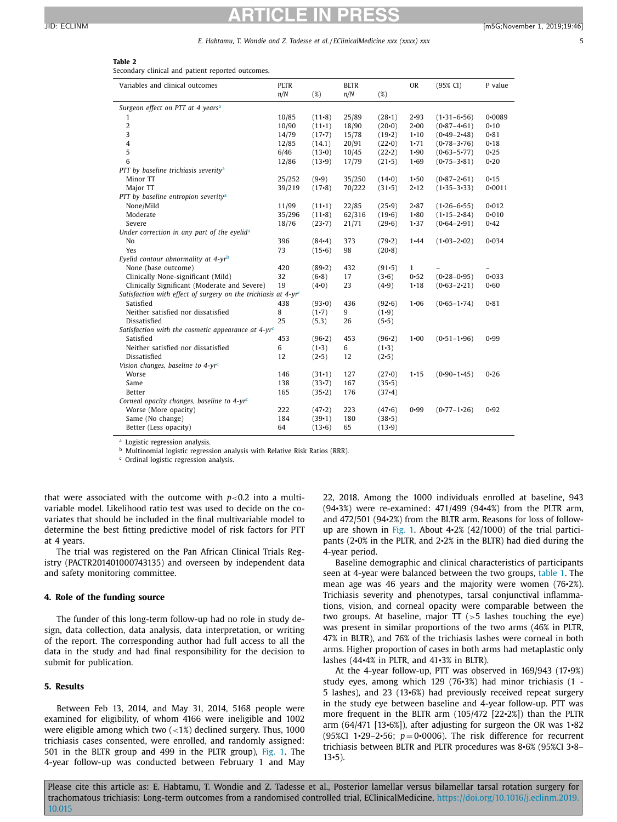#### *E. Habtamu, T. Wondie and Z. Tadesse et al. / EClinicalMedicine xxx (xxxx) xxx* 5

#### <span id="page-4-0"></span>**Table 2**

Secondary clinical and patient reported outcomes.

| Variables and clinical outcomes                                               | <b>PLTR</b><br>n/N | $(\%)$   | <b>BLTR</b><br>n/N | $(\%)$   | <b>OR</b>    | $(95\% \text{ CI})$ | P value    |
|-------------------------------------------------------------------------------|--------------------|----------|--------------------|----------|--------------|---------------------|------------|
| Surgeon effect on PTT at 4 years <sup>a</sup>                                 |                    |          |                    |          |              |                     |            |
| 1                                                                             | 10/85              | $(11-8)$ | 25/89              | (28.1)   | $2 - 93$     | $(1-31-6-56)$       | $0 - 0089$ |
| $\overline{2}$                                                                | 10/90              | $(11-1)$ | 18/90              | $(20-0)$ | $2 - 00$     | $(0.87 - 4.61)$     | $0 - 10$   |
| 3                                                                             | 14/79              | $(17-7)$ | 15/78              | $(19-2)$ | $1 - 10$     | $(0.49 - 2.48)$     | $0 - 81$   |
| $\overline{4}$                                                                | 12/85              | (14.1)   | 20/91              | $(22-0)$ | $1 - 71$     | $(0.78 - 3.76)$     | $0 - 18$   |
| 5                                                                             | 6/46               | $(13-0)$ | 10/45              | $(22-2)$ | $1 - 90$     | $(0.63 - 5.77)$     | $0 - 25$   |
| 6                                                                             | 12/86              | $(13-9)$ | 17/79              | $(21-5)$ | $1 - 69$     | $(0.75 - 3.81)$     | $0 - 20$   |
| PTT by baseline trichiasis severity <sup>a</sup>                              |                    |          |                    |          |              |                     |            |
| Minor TT                                                                      | 25/252             | $(9-9)$  | 35/250             | $(14-0)$ | $1 - 50$     | $(0.87 - 2.61)$     | $0 - 15$   |
| Major TT                                                                      | 39/219             | $(17-8)$ | 70/222             | $(31-5)$ | $2 - 12$     | $(1-35-3-33)$       | $0 - 0011$ |
| PTT by baseline entropion severity <sup>a</sup>                               |                    |          |                    |          |              |                     |            |
| None/Mild                                                                     | 11/99              | $(11-1)$ | 22/85              | $(25-9)$ | $2 - 87$     | $(1.26 - 6.55)$     | $0 - 012$  |
| Moderate                                                                      | 35/296             | $(11-8)$ | 62/316             | $(19-6)$ | $1 - 80$     | $(1.15 - 2.84)$     | $0 - 010$  |
| Severe                                                                        | 18/76              | $(23-7)$ | 21/71              | $(29-6)$ | $1 - 37$     | $(0.64 - 2.91)$     | $0 - 42$   |
| Under correction in any part of the eyelida                                   |                    |          |                    |          |              |                     |            |
| No                                                                            | 396                | $(84-4)$ | 373                | $(79-2)$ | $1 - 44$     | $(1.03 - 2.02)$     | $0 - 034$  |
| Yes                                                                           | 73                 | $(15-6)$ | 98                 | $(20-8)$ |              |                     |            |
| Eyelid contour abnormality at 4-yrb                                           |                    |          |                    |          |              |                     |            |
| None (base outcome)                                                           | 420                | $(89-2)$ | 432                | $(91-5)$ | $\mathbf{1}$ |                     |            |
| Clinically None-significant (Mild)                                            | 32                 | $(6-8)$  | 17                 | (3.6)    | $0 - 52$     | $(0.28 - 0.95)$     | $0 - 033$  |
| Clinically Significant (Moderate and Severe)                                  | 19                 | (4•0)    | 23                 | (4.9)    | $1 - 18$     | $(0.63 - 2.21)$     | $0 - 60$   |
| Satisfaction with effect of surgery on the trichiasis at $4$ -yr <sup>c</sup> |                    |          |                    |          |              |                     |            |
| Satisfied                                                                     | 438                | (93.0)   | 436                | $(92-6)$ | $1 - 06$     | $(0.65 - 1.74)$     | $0 - 81$   |
| Neither satisfied nor dissatisfied                                            | 8                  | $(1-7)$  | 9                  | $(1-9)$  |              |                     |            |
| Dissatisfied                                                                  | 25                 | (5.3)    | 26                 | (5.5)    |              |                     |            |
| Satisfaction with the cosmetic appearance at 4-yr <sup>c</sup>                |                    |          |                    |          |              |                     |            |
| Satisfied                                                                     | 453                | $(96-2)$ | 453                | $(96-2)$ | $1 - 00$     | $(0.51 - 1.96)$     | 0.99       |
| Neither satisfied nor dissatisfied                                            | 6                  | $(1-3)$  | 6                  | $(1-3)$  |              |                     |            |
| Dissatisfied                                                                  | 12                 | (2•5)    | 12                 | $(2-5)$  |              |                     |            |
| Vision changes, baseline to $4$ -yr <sup>c</sup>                              |                    |          |                    |          |              |                     |            |
| Worse                                                                         | 146                | $(31-1)$ | 127                | $(27-0)$ | $1 - 15$     | $(0.90 - 1.45)$     | $0 - 26$   |
| Same                                                                          | 138                | $(33-7)$ | 167                | $(35-5)$ |              |                     |            |
| Better                                                                        | 165                | $(35-2)$ | 176                | $(37-4)$ |              |                     |            |
| Corneal opacity changes, baseline to $4$ -yr <sup>c</sup>                     |                    |          |                    |          |              |                     |            |
| Worse (More opacity)                                                          | 222                | (47.2)   | 223                | (47.6)   | $0 - 99$     | $(0.77 - 1.26)$     | $0 - 92$   |
| Same (No change)                                                              | 184                | $(39-1)$ | 180                | $(38-5)$ |              |                     |            |
| Better (Less opacity)                                                         | 64                 | $(13-6)$ | 65                 | $(13-9)$ |              |                     |            |

<sup>a</sup> Logistic regression analysis.

<sup>b</sup> Multinomial logistic regression analysis with Relative Risk Ratios (RRR).

<sup>c</sup> Ordinal logistic regression analysis.

that were associated with the outcome with  $p<0.2$  into a multivariable model. Likelihood ratio test was used to decide on the covariates that should be included in the final multivariable model to determine the best fitting predictive model of risk factors for PTT at 4 years.

The trial was registered on the Pan African Clinical Trials Registry (PACTR201401000743135) and overseen by independent data and safety monitoring committee.

#### **4. Role of the funding source**

The funder of this long-term follow-up had no role in study design, data collection, data analysis, data interpretation, or writing of the report. The corresponding author had full access to all the data in the study and had final responsibility for the decision to submit for publication.

### **5. Results**

Between Feb 13, 2014, and May 31, 2014, 5168 people were examined for eligibility, of whom 4166 were ineligible and 1002 were eligible among which two  $\left( < 1\% \right)$  declined surgery. Thus, 1000 trichiasis cases consented, were enrolled, and randomly assigned: 501 in the BLTR group and 499 in the PLTR group), [Fig.](#page-2-0) 1. The 4-year follow-up was conducted between February 1 and May

22, 2018. Among the 1000 individuals enrolled at baseline, 943 (94•3%) were re-examined: 471/499 (94•4%) from the PLTR arm, and 472/501 (94•2%) from the BLTR arm. Reasons for loss of followup are shown in [Fig.](#page-2-0) 1. About 4•2% (42/1000) of the trial participants (2•0% in the PLTR, and 2•2% in the BLTR) had died during the 4-year period.

Baseline demographic and clinical characteristics of participants seen at 4-year were balanced between the two groups, [table](#page-3-0) 1. The mean age was 46 years and the majority were women (76•2%). Trichiasis severity and phenotypes, tarsal conjunctival inflammations, vision, and corneal opacity were comparable between the two groups. At baseline, major  $TT$  ( $>5$  lashes touching the eye) was present in similar proportions of the two arms (46% in PLTR, 47% in BLTR), and 76% of the trichiasis lashes were corneal in both arms. Higher proportion of cases in both arms had metaplastic only lashes (44•4% in PLTR, and 41•3% in BLTR).

At the 4-year follow-up, PTT was observed in 169/943 (17•9%) study eyes, among which 129 (76•3%) had minor trichiasis (1 - 5 lashes), and 23 (13•6%) had previously received repeat surgery in the study eye between baseline and 4-year follow-up. PTT was more frequent in the BLTR arm (105/472 [22•2%]) than the PLTR arm  $(64/471$  [13 $\cdot$ 6%]), after adjusting for surgeon the OR was  $1\cdot$ 82 (95%CI 1 $\cdot$ 29–2 $\cdot$ 56;  $p = 0$  $\cdot$ 0006). The risk difference for recurrent trichiasis between BLTR and PLTR procedures was 8•6% (95%CI 3•8–  $13 \cdot 5$ ).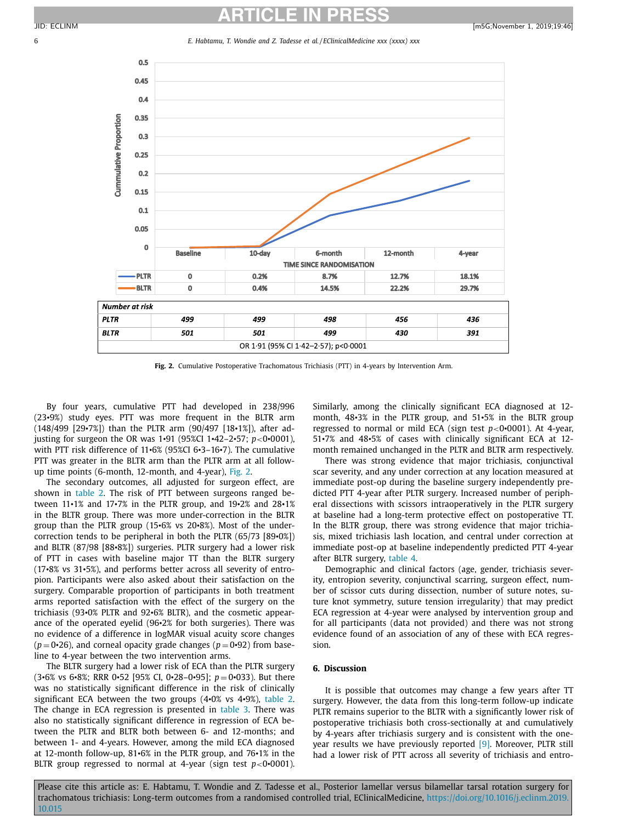$0.5$  $0.45$ 

# **ARTICLE IN PRESS** JID: ECLINM [m5G;November 1, 2019;19:46]

6 *E. Habtamu, T. Wondie and Z. Tadesse et al. / EClinicalMedicine xxx (xxxx) xxx*



**Fig. 2.** Cumulative Postoperative Trachomatous Trichiasis (PTT) in 4-years by Intervention Arm.

By four years, cumulative PTT had developed in 238/996 (23•9%) study eyes. PTT was more frequent in the BLTR arm (148/499 [29•7%]) than the PLTR arm (90/497 [18•1%]), after adjusting for surgeon the OR was 1•91 (95%CI 1•42–2•57; *p*<0•0001), with PTT risk difference of 11•6% (95%CI 6•3–16•7). The cumulative PTT was greater in the BLTR arm than the PLTR arm at all followup time points (6-month, 12-month, and 4-year), Fig. 2.

The secondary outcomes, all adjusted for surgeon effect, are shown in [table](#page-4-0) 2. The risk of PTT between surgeons ranged between 11•1% and 17•7% in the PLTR group, and 19•2% and 28•1% in the BLTR group. There was more under-correction in the BLTR group than the PLTR group (15•6% vs 20•8%). Most of the undercorrection tends to be peripheral in both the PLTR (65/73 [89•0%]) and BLTR (87/98 [88•8%]) surgeries. PLTR surgery had a lower risk of PTT in cases with baseline major TT than the BLTR surgery (17•8% vs 31•5%), and performs better across all severity of entropion. Participants were also asked about their satisfaction on the surgery. Comparable proportion of participants in both treatment arms reported satisfaction with the effect of the surgery on the trichiasis (93•0% PLTR and 92•6% BLTR), and the cosmetic appearance of the operated eyelid (96•2% for both surgeries). There was no evidence of a difference in logMAR visual acuity score changes  $(p=0.26)$ , and corneal opacity grade changes  $(p=0.92)$  from baseline to 4-year between the two intervention arms.

The BLTR surgery had a lower risk of ECA than the PLTR surgery (3•6% vs <sup>6</sup>•8%; RRR <sup>0</sup>•<sup>52</sup> [95% CI, <sup>0</sup>•28–0•95]; *<sup>p</sup>* <sup>=</sup> <sup>0</sup>•033). But there was no statistically significant difference in the risk of clinically significant ECA between the two groups (4•0% vs 4•9%), [table](#page-4-0) 2. The change in ECA regression is presented in [table](#page-6-0) 3. There was also no statistically significant difference in regression of ECA between the PLTR and BLTR both between 6- and 12-months; and between 1- and 4-years. However, among the mild ECA diagnosed at 12-month follow-up, 81•6% in the PLTR group, and 76•1% in the BLTR group regressed to normal at 4-year (sign test  $p < 0$ •0001). Similarly, among the clinically significant ECA diagnosed at 12 month, 48•3% in the PLTR group, and 51•5% in the BLTR group regressed to normal or mild ECA (sign test *p*<0•0001). At 4-year, 51•7% and 48•5% of cases with clinically significant ECA at 12 month remained unchanged in the PLTR and BLTR arm respectively.

There was strong evidence that major trichiasis, conjunctival scar severity, and any under correction at any location measured at immediate post-op during the baseline surgery independently predicted PTT 4-year after PLTR surgery. Increased number of peripheral dissections with scissors intraoperatively in the PLTR surgery at baseline had a long-term protective effect on postoperative TT. In the BLTR group, there was strong evidence that major trichiasis, mixed trichiasis lash location, and central under correction at immediate post-op at baseline independently predicted PTT 4-year after BLTR surgery, [table](#page-7-0) 4.

Demographic and clinical factors (age, gender, trichiasis severity, entropion severity, conjunctival scarring, surgeon effect, number of scissor cuts during dissection, number of suture notes, suture knot symmetry, suture tension irregularity) that may predict ECA regression at 4-year were analysed by intervention group and for all participants (data not provided) and there was not strong evidence found of an association of any of these with ECA regression.

#### **6. Discussion**

It is possible that outcomes may change a few years after TT surgery. However, the data from this long-term follow-up indicate PLTR remains superior to the BLTR with a significantly lower risk of postoperative trichiasis both cross-sectionally at and cumulatively by 4-years after trichiasis surgery and is consistent with the oneyear results we have previously reported [\[9\].](#page-8-0) Moreover, PLTR still had a lower risk of PTT across all severity of trichiasis and entro-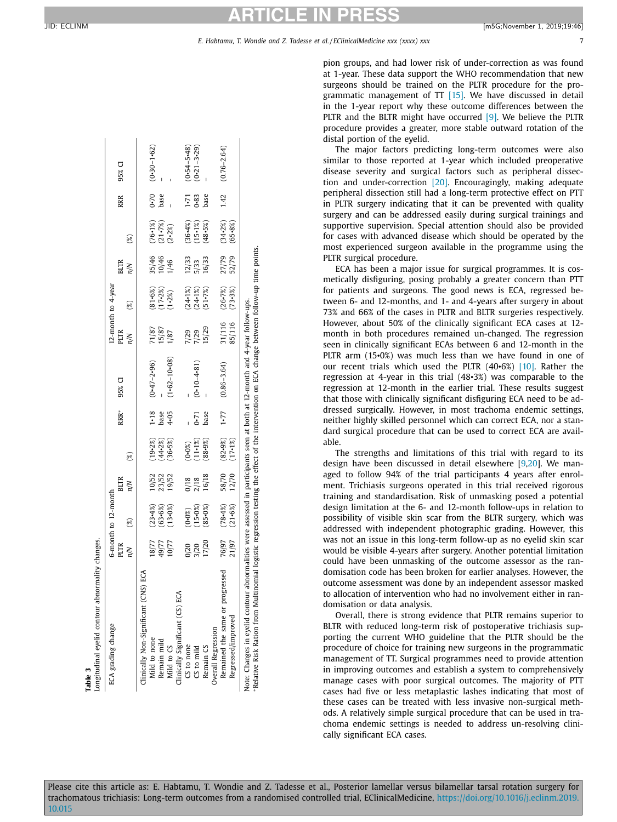<span id="page-6-0"></span>

| ECA grading change                      |                         | 6-month to 12-month    |                         |                                     |                |                  |                       | 12-month to 4-year                     |                        |                                     |                              |                 |
|-----------------------------------------|-------------------------|------------------------|-------------------------|-------------------------------------|----------------|------------------|-----------------------|----------------------------------------|------------------------|-------------------------------------|------------------------------|-----------------|
|                                         | PLTR                    |                        | <b>BLTR</b>             |                                     | $RRR*$         | 95% CI           | PLTR                  |                                        | <b>BLTR</b>            |                                     | RRR                          | 95% CI          |
|                                         | N/n                     | $(\%)$                 | n/n                     | $(\%)$                              |                |                  | ήμ                    | ම                                      | η/Ν                    | $(\%)$                              |                              |                 |
| ECA<br>Clinically Non-Significant (CNS) |                         |                        |                         |                                     |                |                  |                       |                                        |                        |                                     |                              |                 |
| Mild to none                            |                         |                        |                         |                                     | 1.18           | $(0.47 - 2.96)$  |                       |                                        |                        |                                     |                              | $(0.30 - 1.62)$ |
| Remain mild                             | 78/77<br>49/77<br>10/77 | $(23-4%)$<br>$(63-6%)$ | 10/52<br>23/52<br>19/52 | $(19-2%)$<br>$(44-2%)$<br>$(36-5%)$ | base           |                  | 71/87<br>15/87        | $(81 - 6%)$<br>(17-2%)                 | 35/46<br>10/46<br>1/46 | $(76.1%)$<br>$(21.7%)$<br>$(2.2%)$  | $0.70$<br>base               |                 |
| Mild to CS                              |                         | (13.0%)                |                         |                                     | 4.05           | $(1.62 - 10.08)$ | 1/87                  | $(1-2\%)$                              |                        |                                     |                              |                 |
| Clinically Significant (CS) ECA         |                         |                        |                         |                                     |                |                  |                       |                                        |                        |                                     |                              |                 |
| CS to none                              |                         |                        |                         |                                     |                |                  |                       |                                        |                        |                                     |                              | $(0.54 - 5.48)$ |
| $CS$ to mild                            | 0/20<br>3/20<br>17/20   | $(0.0%)$<br>(15.0%)    | $\frac{0}{18}$          | $(0.08)$<br>(11.1%)<br>(88.9%)      |                | $(0.10 - 4.81)$  | 7/29<br>7/29<br>15/29 | $(24.1\%)$<br>$(24.1\%)$<br>$(51.7\%)$ | 12/33<br>5/33<br>16/33 | $(36.4%)$<br>$(15.1%)$<br>$(48.5%)$ | $1 - 71$<br>$0 - 83$<br>base | $(0.21 - 3.29)$ |
| Remain CS                               |                         | $(85 - 0\%)$           | 16/18                   |                                     | $0.71$<br>base |                  |                       |                                        |                        |                                     |                              |                 |
| Overall Regression                      |                         |                        |                         |                                     |                |                  |                       |                                        |                        |                                     |                              |                 |
| Remained the same or progressed         |                         | $(78 - 4\%)$           | 58/70                   |                                     | 1.77           | $(0.86 - 3.64)$  |                       | $(26 - 7\%)$                           |                        |                                     | 1.42                         | $(0.76 - 2.64)$ |
| Regressed/improved                      | 76/97<br>21/97          | $(21 - 6%)$            | 12/70                   | $(82.9%)$<br>(17.1%)                |                |                  | 31/116<br>85/116      | (73.3%)                                | 27/79<br>52/79         | $(34.2%)$<br>$(65.8%)$              |                              |                 |

pion groups, and had lower risk of under-correction as was found at 1-year. These data support the WHO recommendation that new surgeons should be trained on the PLTR procedure for the programmatic management of TT [\[15\].](#page-8-0) We have discussed in detail in the 1-year report why these outcome differences between the PLTR and the BLTR might have occurred [\[9\].](#page-8-0) We believe the PLTR procedure provides a greater, more stable outward rotation of the distal portion of the eyelid.

The major factors predicting long-term outcomes were also similar to those reported at 1-year which included preoperative disease severity and surgical factors such as peripheral dissection and under-correction [\[20\].](#page-8-0) Encouragingly, making adequate peripheral dissection still had a long-term protective effect on PTT in PLTR surgery indicating that it can be prevented with quality surgery and can be addressed easily during surgical trainings and supportive supervision. Special attention should also be provided for cases with advanced disease which should be operated by the most experienced surgeon available in the programme using the PLTR surgical procedure.

ECA has been a major issue for surgical programmes. It is cosmetically disfiguring, posing probably a greater concern than PTT for patients and surgeons. The good news is ECA, regressed between 6- and 12-months, and 1- and 4-years after surgery in about 73% and 66% of the cases in PLTR and BLTR surgeries respectively. However, about 50% of the clinically significant ECA cases at 12 month in both procedures remained un-changed. The regression seen in clinically significant ECAs between 6 and 12-month in the PLTR arm (15•0%) was much less than we have found in one of our recent trials which used the PLTR (40•6%) [\[10\].](#page-8-0) Rather the regression at 4-year in this trial (48•3%) was comparable to the regression at 12-month in the earlier trial. These results suggest that those with clinically significant disfiguring ECA need to be addressed surgically. However, in most trachoma endemic settings, neither highly skilled personnel which can correct ECA, nor a standard surgical procedure that can be used to correct ECA are available.

The strengths and limitations of this trial with regard to its design have been discussed in detail elsewhere [\[9,20\]](#page-8-0). We managed to follow 94% of the trial participants 4 years after enrolment. Trichiasis surgeons operated in this trial received rigorous training and standardisation. Risk of unmasking posed a potential design limitation at the 6- and 12-month follow-ups in relation to possibility of visible skin scar from the BLTR surgery, which was addressed with independent photographic grading. However, this was not an issue in this long-term follow-up as no eyelid skin scar would be visible 4-years after surgery. Another potential limitation could have been unmasking of the outcome assessor as the randomisation code has been broken for earlier analyses. However, the outcome assessment was done by an independent assessor masked to allocation of intervention who had no involvement either in randomisation or data analysis.

Overall, there is strong evidence that PLTR remains superior to BLTR with reduced long-term risk of postoperative trichiasis supporting the current WHO guideline that the PLTR should be the procedure of choice for training new surgeons in the programmatic management of TT. Surgical programmes need to provide attention in improving outcomes and establish a system to comprehensively manage cases with poor surgical outcomes. The majority of PTT cases had five or less metaplastic lashes indicating that most of these cases can be treated with less invasive non-surgical methods. A relatively simple surgical procedure that can be used in trachoma endemic settings is needed to address un-resolving clinically significant ECA cases.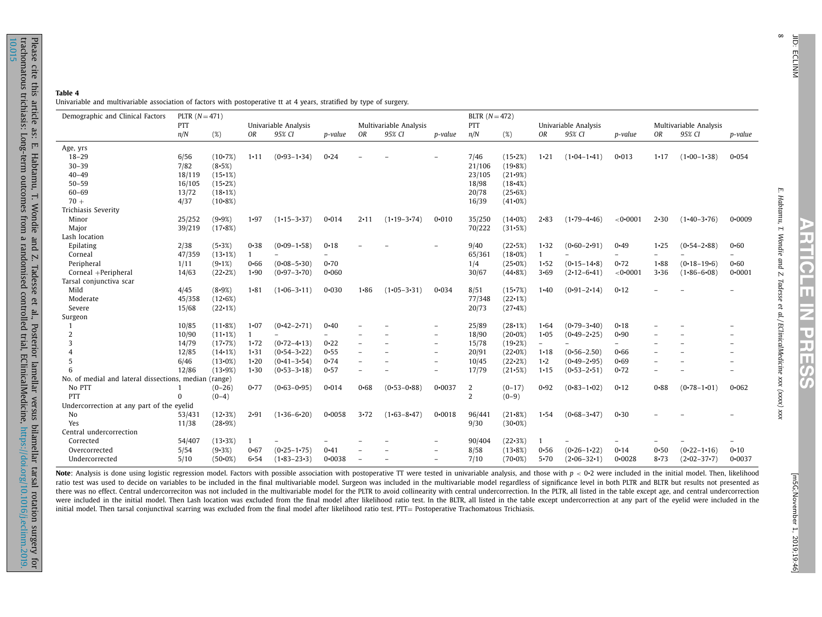| ∞ |   |
|---|---|
|   |   |
|   | т |
|   | г |
|   |   |
|   | W |
|   |   |
|   |   |

 $\infty$ 

<span id="page-7-0"></span>

| Demographic and Clinical Factors                      | PLTR $(N = 471)$         |                  |                      |                                |                  |              |                                  |                                    | BLTR $(N = 472)$ |                              |                        |                                |                      |                          |                                  |                          |
|-------------------------------------------------------|--------------------------|------------------|----------------------|--------------------------------|------------------|--------------|----------------------------------|------------------------------------|------------------|------------------------------|------------------------|--------------------------------|----------------------|--------------------------|----------------------------------|--------------------------|
|                                                       | PTT<br>n/N               | (%)              | OR                   | Univariable Analysis<br>95% CI | p-value          | OR           | Multivariable Analysis<br>95% CI | p-value                            | PTT<br>n/N       | (%)                          | OR                     | Univariable Analysis<br>95% CI | p-value              | OR                       | Multivariable Analysis<br>95% CI | p-value                  |
| Age, yrs                                              |                          |                  |                      |                                |                  |              |                                  |                                    |                  |                              |                        |                                |                      |                          |                                  |                          |
| $18 - 29$                                             | 6/56                     | $(10-7%)$        | $1 - 11$             | $(0.93 - 1.34)$                | $0 - 24$         |              |                                  |                                    | 7/46             | (15.2%)                      | $1 - 21$               | $(1.04 - 1.41)$                | $0 - 013$            | $1 - 17$                 | $(1\cdot 00 - 1\cdot 38)$        | $0 - 054$                |
| $30 - 39$                                             | 7/82                     | (8.5%)           |                      |                                |                  |              |                                  |                                    | 21/106           | $(19.8\%)$                   |                        |                                |                      |                          |                                  |                          |
| $40 - 49$                                             | 18/119                   | (15.1%)          |                      |                                |                  |              |                                  |                                    | 23/105           | $(21-9%)$                    |                        |                                |                      |                          |                                  |                          |
| $50 - 59$                                             | 16/105                   | (15.2%)          |                      |                                |                  |              |                                  |                                    | 18/98            | $(18-4%)$                    |                        |                                |                      |                          |                                  |                          |
| 60-69                                                 | 13/72                    | (18.1%)          |                      |                                |                  |              |                                  |                                    | 20/78            | (25.6%)                      |                        |                                |                      |                          |                                  |                          |
| $70 +$                                                | 4/37                     | $(10-8%)$        |                      |                                |                  |              |                                  |                                    | 16/39            | $(41.0\%)$                   |                        |                                |                      |                          |                                  |                          |
| Trichiasis Severity                                   |                          |                  |                      |                                |                  |              |                                  |                                    |                  |                              |                        |                                |                      |                          |                                  |                          |
| Minor                                                 | 25/252                   | (9.9%)           | $1 - 97$             | $(1-15-3-37)$                  | $0 - 014$        | $2 \cdot 11$ | $(1.19 - 3.74)$                  | $0 - 010$                          | 35/250           | $(14-0%)$                    | $2 - 83$               | $(1.79 - 4.46)$                | <0.0001              | $2 - 30$                 | $(1-40-3-76)$                    | 0.0009                   |
| Major                                                 | 39/219                   | $(17-8%)$        |                      |                                |                  |              |                                  |                                    | 70/222           | (31.5%)                      |                        |                                |                      |                          |                                  |                          |
| Lash location                                         |                          |                  |                      |                                |                  |              |                                  |                                    |                  |                              |                        |                                |                      |                          |                                  |                          |
| Epilating                                             | 2/38                     | (5.3%)           | $0 - 38$             | $(0.09 - 1.58)$                | $0 - 18$         |              |                                  |                                    | 9/40             | (22.5%)                      | $1 - 32$               | $(0.60 - 2.91)$                | $0 - 49$             | $1 - 25$                 | $(0.54 - 2.88)$                  | $0 - 60$                 |
| Corneal                                               | 47/359                   | (13.1%)          | $\mathbf{1}$         |                                |                  |              |                                  |                                    | 65/361           | $(18.0\%)$                   | $\mathbf{1}$           |                                |                      |                          |                                  |                          |
| Peripheral                                            | 1/11                     | (9.1%)           | $0 - 66$             | $(0.08 - 5.30)$                | $0 - 70$         |              |                                  |                                    | 1/4              | (25.0%)                      | $1 - 52$               | $(0.15 - 14.8)$                | $0 - 72$             | $1 - 88$                 | $(0.18 - 19.6)$                  | $0 - 60$                 |
| Corneal +Peripheral                                   | 14/63                    | $(22-2%)$        | $1 - 90$             | $(0.97 - 3.70)$                | $0 - 060$        |              |                                  |                                    | 30/67            | $(44 - 8\%)$                 | $3 - 69$               | $(2 \cdot 12 - 6 \cdot 41)$    | $< 0 \cdot 0001$     | $3 - 36$                 | $(1.86 - 6.08)$                  | $0 - 0001$               |
| Tarsal conjunctiva scar                               |                          |                  |                      |                                |                  |              |                                  |                                    |                  |                              |                        |                                |                      |                          |                                  |                          |
| Mild                                                  | 4/45                     | (8.9%)           | $1 - 81$             | $(1.06 - 3.11)$                | $0 - 030$        | $1 - 86$     | $(1.05 - 3.31)$                  | 0.034                              | 8/51             | $(15-7%)$                    | $1 - 40$               | $(0.91 - 2.14)$                | $0 - 12$             |                          |                                  |                          |
| Moderate                                              | 45/358                   | (12.6%)          |                      |                                |                  |              |                                  |                                    | 77/348           | $(22 \cdot 1\%)$             |                        |                                |                      |                          |                                  |                          |
| Severe                                                | 15/68                    | $(22 \cdot 1\%)$ |                      |                                |                  |              |                                  |                                    | 20/73            | $(27-4%)$                    |                        |                                |                      |                          |                                  |                          |
| Surgeon                                               |                          |                  |                      |                                |                  |              |                                  |                                    |                  |                              |                        |                                |                      |                          |                                  |                          |
| $\mathbf{1}$                                          | 10/85                    | $(11-8%)$        | $1 - 07$             | $(0.42 - 2.71)$                | $0 - 40$         |              |                                  | $\overline{\phantom{a}}$           | 25/89            | (28.1%)                      | 1.64                   | $(0.79 - 3.40)$                | $0 - 18$             |                          |                                  |                          |
| $\overline{2}$                                        |                          | $(11-1%)$        | 1                    |                                |                  |              |                                  |                                    | 18/90            | $(20-0%)$                    | $1 - 05$               | $(0.49 - 2.25)$                | $0 - 90$             |                          |                                  |                          |
| 3                                                     | 10/90                    | $(17-7%)$        | $1 - 72$             |                                | $0 - 22$         |              |                                  |                                    |                  |                              | $\equiv$               |                                |                      |                          |                                  |                          |
|                                                       | 14/79                    |                  |                      | $(0.72 - 4.13)$                |                  |              |                                  | $\qquad \qquad -$<br>$\equiv$      | 15/78            | $(19-2%)$                    |                        |                                |                      |                          |                                  | $\overline{\phantom{a}}$ |
| $\overline{4}$<br>5                                   | 12/85                    | (14.1%)          | $1 - 31$             | $(0.54 - 3.22)$                | $0 - 55$<br>0.74 |              |                                  |                                    | 20/91            | $(22\cdot 0\%)$<br>$(22-2%)$ | $1 - 18$<br>$1\cdot 2$ | $(0.56 - 2.50)$                | $0 - 66$<br>$0 - 69$ |                          |                                  |                          |
| 6                                                     | 6/46                     | (13.0%)          | $1 - 20$<br>$1 - 30$ | $(0.41 - 3.54)$                |                  |              |                                  | $\overline{\phantom{a}}$<br>$\sim$ | 10/45            |                              |                        | $(0.49 - 2.95)$                | $0 - 72$             |                          |                                  |                          |
| No. of medial and lateral dissections, median (range) | 12/86                    | (13.9%)          |                      | $(0.53 - 3.18)$                | $0 - 57$         | ۳            |                                  |                                    | 17/79            | (21.5%)                      | $1 - 15$               | $(0.53 - 2.51)$                |                      | $\overline{\phantom{0}}$ |                                  |                          |
|                                                       |                          |                  |                      |                                |                  |              |                                  |                                    |                  |                              |                        |                                |                      |                          |                                  |                          |
| No PTT                                                | $\mathbf{1}$<br>$\Omega$ | $(0-26)$         | $0 - 77$             | $(0.63 - 0.95)$                | $0 - 014$        | $0 - 68$     | $(0.53 - 0.88)$                  | $0 - 0037$                         | $\overline{c}$   | $(0-17)$                     | $0 - 92$               | $(0.83 - 1.02)$                | $0 - 12$             | $0 - 88$                 | $(0.78 - 1.01)$                  | $0 - 062$                |
| <b>PTT</b>                                            |                          | $(0-4)$          |                      |                                |                  |              |                                  |                                    | $\overline{2}$   | $(0-9)$                      |                        |                                |                      |                          |                                  |                          |
| Undercorrection at any part of the eyelid             |                          |                  |                      |                                |                  |              |                                  |                                    |                  |                              |                        |                                |                      |                          |                                  |                          |
| No                                                    | 53/431                   | $(12-3%)$        | $2 - 91$             | $(1.36 - 6.20)$                | $0 - 0058$       | 3.72         | $(1.63 - 8.47)$                  | $0 - 0018$                         | 96/441           | $(21 - 8\%)$                 | 1.54                   | $(0.68 - 3.47)$                | $0 - 30$             |                          |                                  |                          |
| Yes                                                   | 11/38                    | (28.9%)          |                      |                                |                  |              |                                  |                                    | 9/30             | $(30.0\%)$                   |                        |                                |                      |                          |                                  |                          |
| Central undercorrection                               |                          |                  |                      |                                |                  |              |                                  |                                    |                  |                              |                        |                                |                      |                          |                                  |                          |
| Corrected                                             | 54/407                   | $(13-3%)$        |                      |                                |                  |              |                                  |                                    | 90/404           | $(22-3%)$                    |                        |                                |                      |                          |                                  |                          |
| Overcorrected                                         | 5/54                     | (9.3%)           | $0 - 67$             | $(0.25 - 1.75)$                | $0 - 41$         |              |                                  |                                    | 8/58             | (13.8%)                      | 0.56                   | $(0.26 - 1.22)$                | 0.14                 | $0 - 50$                 | $(0.22 - 1.16)$                  | $0 - 10$                 |
| Undercorrected                                        | 5/10                     | $(50-0%)$        | $6 - 54$             | $(1.83 - 23.3)$                | $0 - 0038$       |              |                                  | $\equiv$                           | 7/10             | $(70-0%)$                    | $5 - 70$               | $(2.06 - 32.1)$                | $0 - 0028$           | $8 - 73$                 | $(2\cdot 02 - 37\cdot 7)$        | $0 - 0037$               |

**ARTICLE**